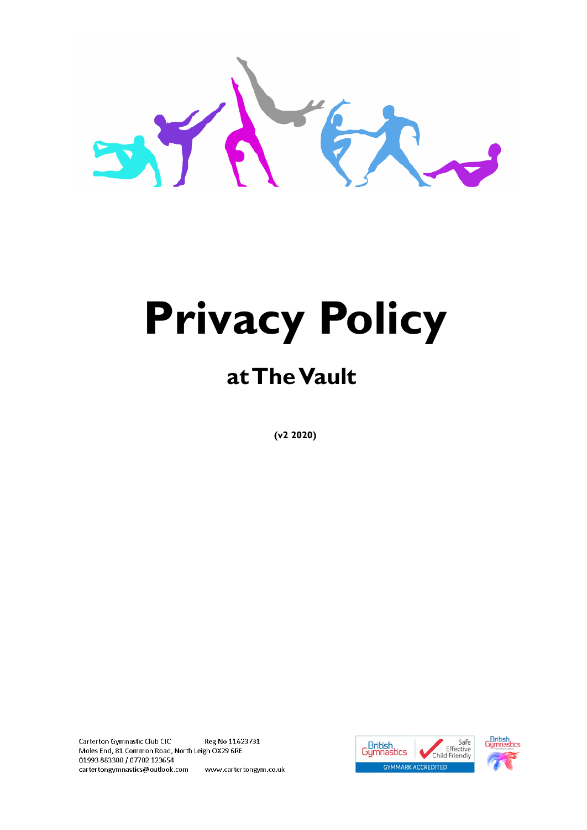

# **Privacy Policy**

# **at The Vault**

**(v2 2020)**

Carterton Gymnastic Club CIC Reg No 11623731 Moles End, 81 Common Road, North Leigh OX29 6RE 01993883300 / 07702 123654 cartertongymnastics@outlook.com www.cartertongym.co.uk



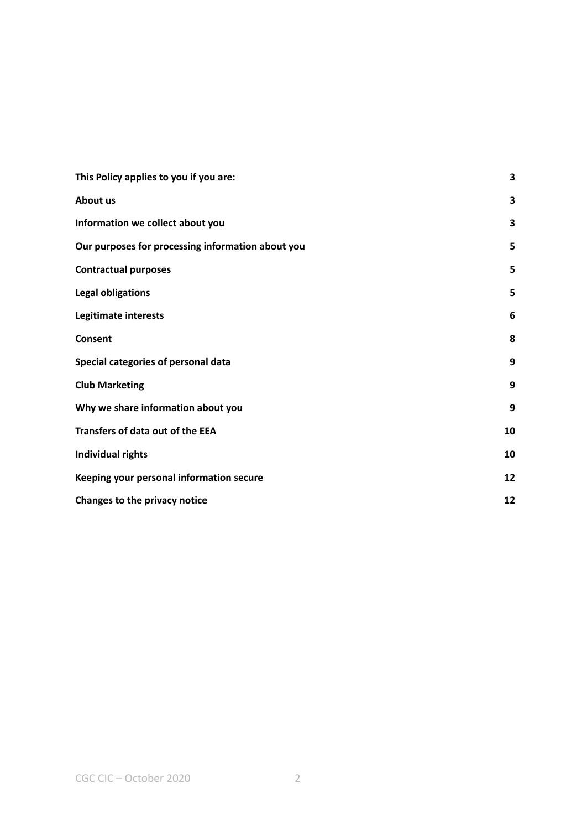| This Policy applies to you if you are:            | 3  |
|---------------------------------------------------|----|
| About us                                          | 3  |
| Information we collect about you                  | 3  |
| Our purposes for processing information about you | 5  |
| <b>Contractual purposes</b>                       | 5  |
| <b>Legal obligations</b>                          | 5  |
| Legitimate interests                              | 6  |
| <b>Consent</b>                                    | 8  |
| Special categories of personal data               | 9  |
| <b>Club Marketing</b>                             | 9  |
| Why we share information about you                | 9  |
| Transfers of data out of the EEA                  | 10 |
| Individual rights                                 | 10 |
| Keeping your personal information secure          | 12 |
| Changes to the privacy notice                     | 12 |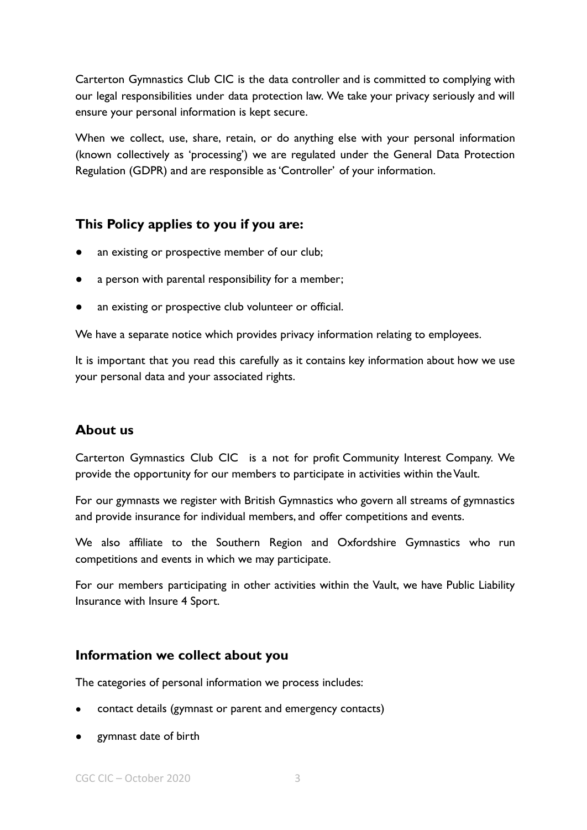Carterton Gymnastics Club CIC is the data controller and is committed to complying with our legal responsibilities under data protection law. We take your privacy seriously and will ensure your personal information is kept secure.

When we collect, use, share, retain, or do anything else with your personal information (known collectively as 'processing') we are regulated under the General Data Protection Regulation (GDPR) and are responsible as 'Controller' of your information.

# <span id="page-2-0"></span>**This Policy applies to you if you are:**

- an existing or prospective member of our club;
- a person with parental responsibility for a member;
- an existing or prospective club volunteer or official.

We have a separate notice which provides privacy information relating to employees.

It is important that you read this carefully as it contains key information about how we use your personal data and your associated rights.

## <span id="page-2-1"></span>**About us**

Carterton Gymnastics Club CIC is a not for profit Community Interest Company. We provide the opportunity for our members to participate in activities within the Vault.

For our gymnasts we register with British Gymnastics who govern all streams of gymnastics and provide insurance for individual members, and offer competitions and events.

We also affiliate to the Southern Region and Oxfordshire Gymnastics who run competitions and events in which we may participate.

For our members participating in other activities within the Vault, we have Public Liability Insurance with Insure 4 Sport.

#### <span id="page-2-2"></span>**Information we collect about you**

The categories of personal information we process includes:

- contact details (gymnast or parent and emergency contacts)
- gymnast date of birth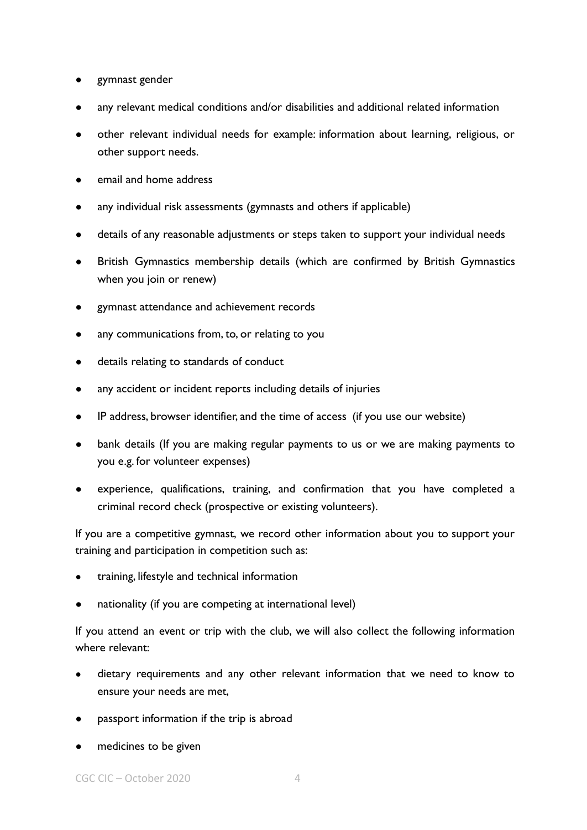- gymnast gender
- any relevant medical conditions and/or disabilities and additional related information
- other relevant individual needs for example: information about learning, religious, or other support needs.
- email and home address
- any individual risk assessments (gymnasts and others if applicable)
- details of any reasonable adjustments or steps taken to support your individual needs
- British Gymnastics membership details (which are confirmed by British Gymnastics when you join or renew)
- gymnast attendance and achievement records
- any communications from, to, or relating to you
- details relating to standards of conduct
- any accident or incident reports including details of injuries
- IP address, browser identifier, and the time of access (if you use our website)
- bank details (If you are making regular payments to us or we are making payments to you e.g. for volunteer expenses)
- experience, qualifications, training, and confirmation that you have completed a criminal record check (prospective or existing volunteers).

If you are a competitive gymnast, we record other information about you to support your training and participation in competition such as:

- training, lifestyle and technical information
- nationality (if you are competing at international level)

If you attend an event or trip with the club, we will also collect the following information where relevant:

- dietary requirements and any other relevant information that we need to know to ensure your needs are met,
- passport information if the trip is abroad
- medicines to be given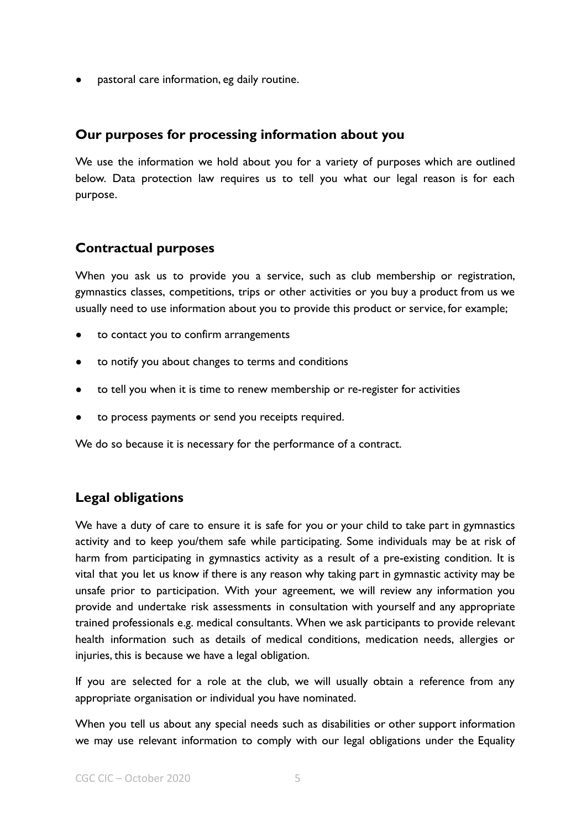pastoral care information, eg daily routine.

#### <span id="page-4-0"></span>**Our purposes for processing information about you**

We use the information we hold about you for a variety of purposes which are outlined below. Data protection law requires us to tell you what our legal reason is for each purpose.

#### <span id="page-4-1"></span>**Contractual purposes**

When you ask us to provide you a service, such as club membership or registration, gymnastics classes, competitions, trips or other activities or you buy a product from us we usually need to use information about you to provide this product or service, for example;

- to contact you to confirm arrangements
- to notify you about changes to terms and conditions
- to tell you when it is time to renew membership or re-register for activities
- to process payments or send you receipts required.

We do so because it is necessary for the performance of a contract.

## <span id="page-4-2"></span>**Legal obligations**

We have a duty of care to ensure it is safe for you or your child to take part in gymnastics activity and to keep you/them safe while participating. Some individuals may be at risk of harm from participating in gymnastics activity as a result of a pre-existing condition. It is vital that you let us know if there is any reason why taking part in gymnastic activity may be unsafe prior to participation. With your agreement, we will review any information you provide and undertake risk assessments in consultation with yourself and any appropriate trained professionals e.g. medical consultants. When we ask participants to provide relevant health information such as details of medical conditions, medication needs, allergies or injuries, this is because we have a legal obligation.

If you are selected for a role at the club, we will usually obtain a reference from any appropriate organisation or individual you have nominated.

When you tell us about any special needs such as disabilities or other support information we may use relevant information to comply with our legal obligations under the Equality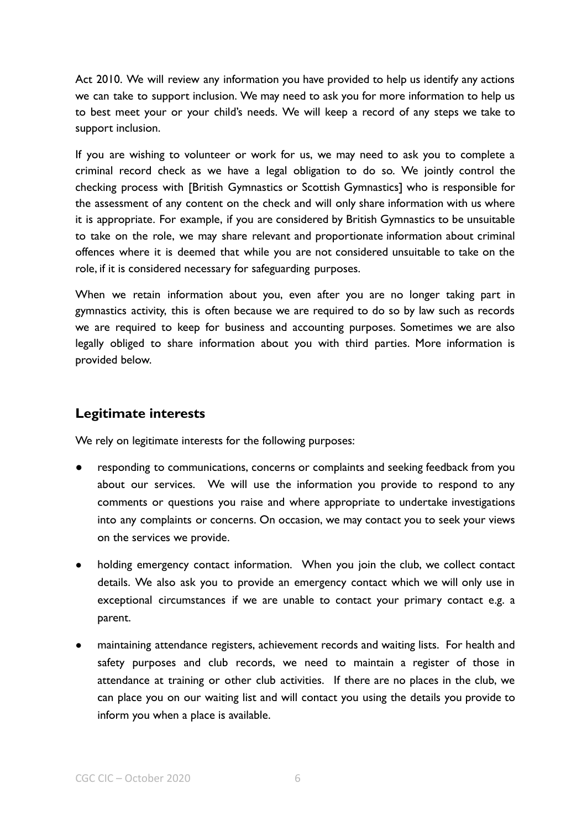Act 2010. We will review any information you have provided to help us identify any actions we can take to support inclusion. We may need to ask you for more information to help us to best meet your or your child's needs. We will keep a record of any steps we take to support inclusion.

If you are wishing to volunteer or work for us, we may need to ask you to complete a criminal record check as we have a legal obligation to do so. We jointly control the checking process with [British Gymnastics or Scottish Gymnastics] who is responsible for the assessment of any content on the check and will only share information with us where it is appropriate. For example, if you are considered by British Gymnastics to be unsuitable to take on the role, we may share relevant and proportionate information about criminal offences where it is deemed that while you are not considered unsuitable to take on the role, if it is considered necessary for safeguarding purposes.

When we retain information about you, even after you are no longer taking part in gymnastics activity, this is often because we are required to do so by law such as records we are required to keep for business and accounting purposes. Sometimes we are also legally obliged to share information about you with third parties. More information is provided below.

#### <span id="page-5-0"></span>**Legitimate interests**

We rely on legitimate interests for the following purposes:

- responding to communications, concerns or complaints and seeking feedback from you about our services. We will use the information you provide to respond to any comments or questions you raise and where appropriate to undertake investigations into any complaints or concerns. On occasion, we may contact you to seek your views on the services we provide.
- holding emergency contact information. When you join the club, we collect contact details. We also ask you to provide an emergency contact which we will only use in exceptional circumstances if we are unable to contact your primary contact e.g. a parent.
- maintaining attendance registers, achievement records and waiting lists. For health and safety purposes and club records, we need to maintain a register of those in attendance at training or other club activities. If there are no places in the club, we can place you on our waiting list and will contact you using the details you provide to inform you when a place is available.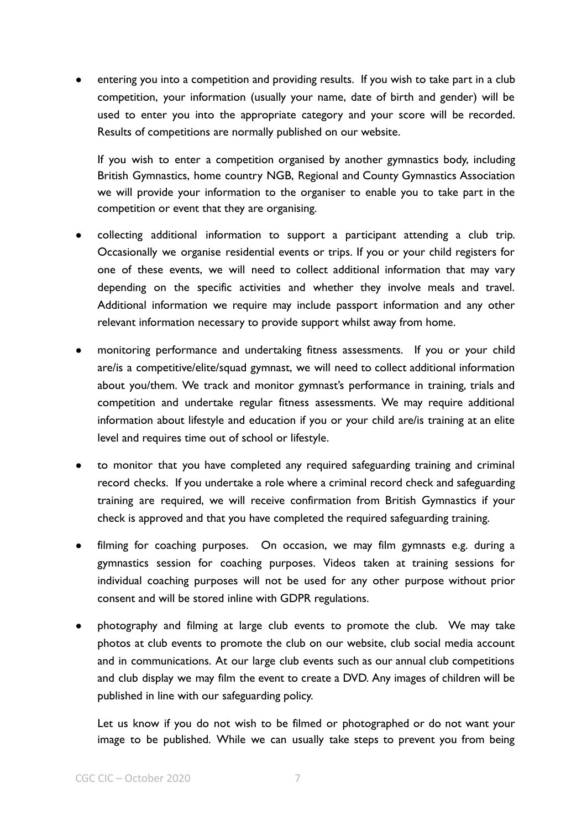entering you into a competition and providing results. If you wish to take part in a club competition, your information (usually your name, date of birth and gender) will be used to enter you into the appropriate category and your score will be recorded. Results of competitions are normally published on our website.

If you wish to enter a competition organised by another gymnastics body, including British Gymnastics, home country NGB, Regional and County Gymnastics Association we will provide your information to the organiser to enable you to take part in the competition or event that they are organising.

- collecting additional information to support a participant attending a club trip. Occasionally we organise residential events or trips. If you or your child registers for one of these events, we will need to collect additional information that may vary depending on the specific activities and whether they involve meals and travel. Additional information we require may include passport information and any other relevant information necessary to provide support whilst away from home.
- monitoring performance and undertaking fitness assessments. If you or your child are/is a competitive/elite/squad gymnast, we will need to collect additional information about you/them. We track and monitor gymnast's performance in training, trials and competition and undertake regular fitness assessments. We may require additional information about lifestyle and education if you or your child are/is training at an elite level and requires time out of school or lifestyle.
- to monitor that you have completed any required safeguarding training and criminal record checks. If you undertake a role where a criminal record check and safeguarding training are required, we will receive confirmation from British Gymnastics if your check is approved and that you have completed the required safeguarding training.
- filming for coaching purposes. On occasion, we may film gymnasts e.g. during a gymnastics session for coaching purposes. Videos taken at training sessions for individual coaching purposes will not be used for any other purpose without prior consent and will be stored inline with GDPR regulations.
- photography and filming at large club events to promote the club. We may take photos at club events to promote the club on our website, club social media account and in communications. At our large club events such as our annual club competitions and club display we may film the event to create a DVD. Any images of children will be published in line with our safeguarding policy.

Let us know if you do not wish to be filmed or photographed or do not want your image to be published. While we can usually take steps to prevent you from being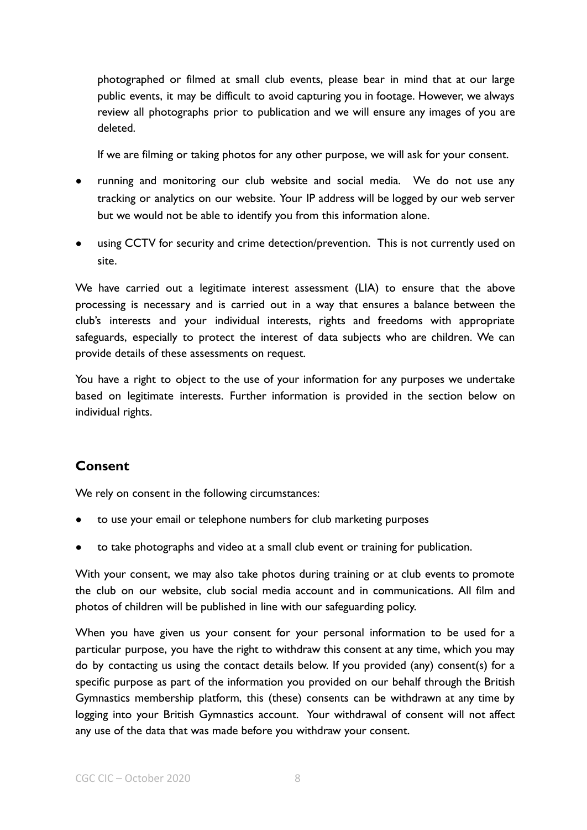photographed or filmed at small club events, please bear in mind that at our large public events, it may be difficult to avoid capturing you in footage. However, we always review all photographs prior to publication and we will ensure any images of you are deleted.

If we are filming or taking photos for any other purpose, we will ask for your consent.

- running and monitoring our club website and social media. We do not use any tracking or analytics on our website. Your IP address will be logged by our web server but we would not be able to identify you from this information alone.
- using CCTV for security and crime detection/prevention. This is not currently used on site.

We have carried out a legitimate interest assessment (LIA) to ensure that the above processing is necessary and is carried out in a way that ensures a balance between the club's interests and your individual interests, rights and freedoms with appropriate safeguards, especially to protect the interest of data subjects who are children. We can provide details of these assessments on request.

You have a right to object to the use of your information for any purposes we undertake based on legitimate interests. Further information is provided in the section below on individual rights.

## <span id="page-7-0"></span>**Consent**

We rely on consent in the following circumstances:

- to use your email or telephone numbers for club marketing purposes
- to take photographs and video at a small club event or training for publication.

With your consent, we may also take photos during training or at club events to promote the club on our website, club social media account and in communications. All film and photos of children will be published in line with our safeguarding policy.

When you have given us your consent for your personal information to be used for a particular purpose, you have the right to withdraw this consent at any time, which you may do by contacting us using the contact details below. If you provided (any) consent(s) for a specific purpose as part of the information you provided on our behalf through the British Gymnastics membership platform, this (these) consents can be withdrawn at any time by logging into your British Gymnastics account. Your withdrawal of consent will not affect any use of the data that was made before you withdraw your consent.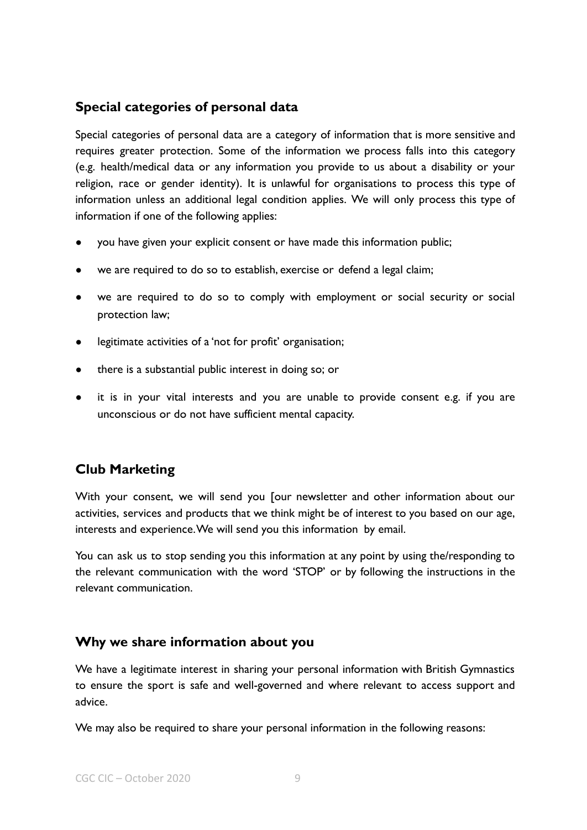# <span id="page-8-0"></span>**Special categories of personal data**

Special categories of personal data are a category of information that is more sensitive and requires greater protection. Some of the information we process falls into this category (e.g. health/medical data or any information you provide to us about a disability or your religion, race or gender identity). It is unlawful for organisations to process this type of information unless an additional legal condition applies. We will only process this type of information if one of the following applies:

- you have given your explicit consent or have made this information public;
- we are required to do so to establish, exercise or defend a legal claim;
- we are required to do so to comply with employment or social security or social protection law;
- legitimate activities of a 'not for profit' organisation;
- there is a substantial public interest in doing so; or
- it is in your vital interests and you are unable to provide consent e.g. if you are unconscious or do not have sufficient mental capacity.

# <span id="page-8-1"></span>**Club Marketing**

With your consent, we will send you [our newsletter and other information about our activities, services and products that we think might be of interest to you based on our age, interests and experience.We will send you this information by email.

You can ask us to stop sending you this information at any point by using the/responding to the relevant communication with the word 'STOP' or by following the instructions in the relevant communication.

## <span id="page-8-2"></span>**Why we share information about you**

We have a legitimate interest in sharing your personal information with British Gymnastics to ensure the sport is safe and well-governed and where relevant to access support and advice.

We may also be required to share your personal information in the following reasons: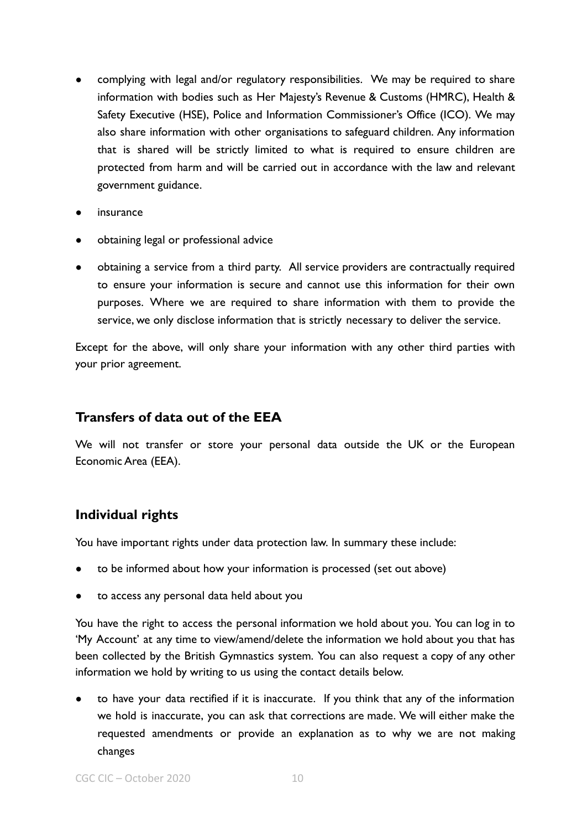- complying with legal and/or regulatory responsibilities. We may be required to share information with bodies such as Her Majesty's Revenue & Customs (HMRC), Health & Safety Executive (HSE), Police and Information Commissioner's Office (ICO). We may also share information with other organisations to safeguard children. Any information that is shared will be strictly limited to what is required to ensure children are protected from harm and will be carried out in accordance with the law and relevant government guidance.
- insurance
- obtaining legal or professional advice
- obtaining a service from a third party. All service providers are contractually required to ensure your information is secure and cannot use this information for their own purposes. Where we are required to share information with them to provide the service, we only disclose information that is strictly necessary to deliver the service.

Except for the above, will only share your information with any other third parties with your prior agreement.

## <span id="page-9-0"></span>**Transfers of data out of the EEA**

We will not transfer or store your personal data outside the UK or the European Economic Area (EEA).

## <span id="page-9-1"></span>**Individual rights**

You have important rights under data protection law. In summary these include:

- to be informed about how your information is processed (set out above)
- to access any personal data held about you

You have the right to access the personal information we hold about you. You can log in to 'My Account' at any time to view/amend/delete the information we hold about you that has been collected by the British Gymnastics system. You can also request a copy of any other information we hold by writing to us using the contact details below.

to have your data rectified if it is inaccurate. If you think that any of the information we hold is inaccurate, you can ask that corrections are made. We will either make the requested amendments or provide an explanation as to why we are not making changes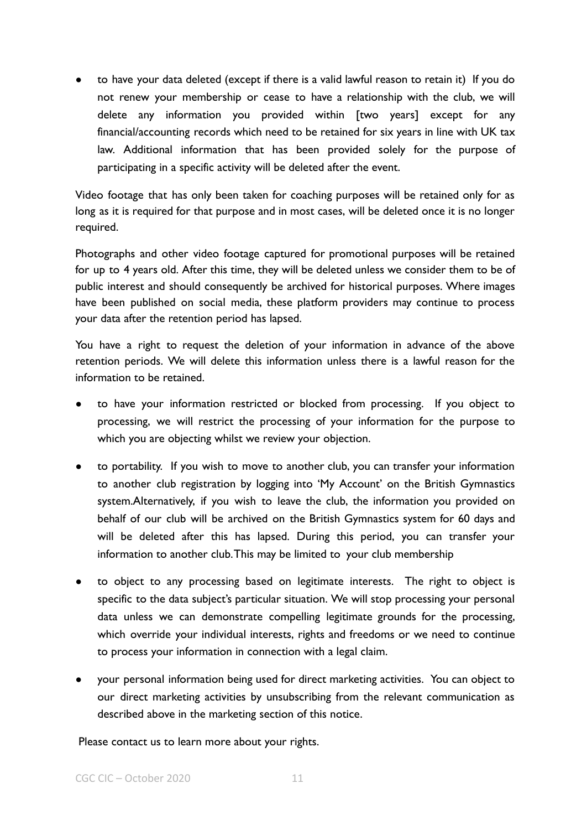to have your data deleted (except if there is a valid lawful reason to retain it) If you do not renew your membership or cease to have a relationship with the club, we will delete any information you provided within [two years] except for any financial/accounting records which need to be retained for six years in line with UK tax law. Additional information that has been provided solely for the purpose of participating in a specific activity will be deleted after the event.

Video footage that has only been taken for coaching purposes will be retained only for as long as it is required for that purpose and in most cases, will be deleted once it is no longer required.

Photographs and other video footage captured for promotional purposes will be retained for up to 4 years old. After this time, they will be deleted unless we consider them to be of public interest and should consequently be archived for historical purposes. Where images have been published on social media, these platform providers may continue to process your data after the retention period has lapsed.

You have a right to request the deletion of your information in advance of the above retention periods. We will delete this information unless there is a lawful reason for the information to be retained.

- to have your information restricted or blocked from processing. If you object to processing, we will restrict the processing of your information for the purpose to which you are objecting whilst we review your objection.
- to portability. If you wish to move to another club, you can transfer your information to another club registration by logging into 'My Account' on the British Gymnastics system.Alternatively, if you wish to leave the club, the information you provided on behalf of our club will be archived on the British Gymnastics system for 60 days and will be deleted after this has lapsed. During this period, you can transfer your information to another club.This may be limited to your club membership
- to object to any processing based on legitimate interests. The right to object is specific to the data subject's particular situation. We will stop processing your personal data unless we can demonstrate compelling legitimate grounds for the processing, which override your individual interests, rights and freedoms or we need to continue to process your information in connection with a legal claim.
- your personal information being used for direct marketing activities. You can object to our direct marketing activities by unsubscribing from the relevant communication as described above in the marketing section of this notice.

Please contact us to learn more about your rights.